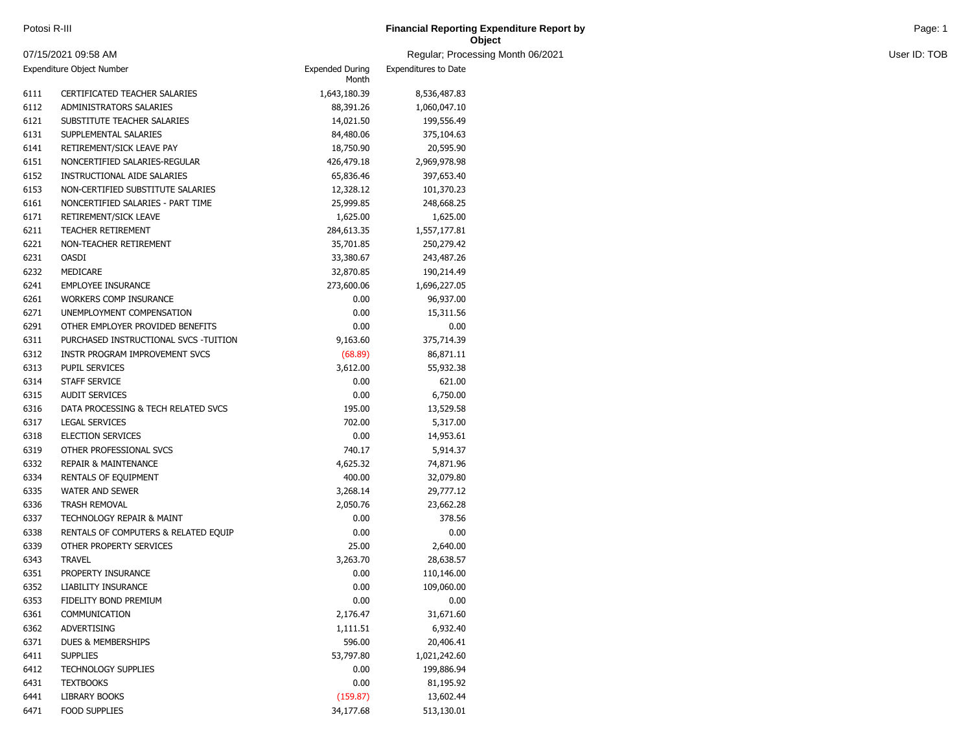| Potosi R-III | <b>Financial Reporting Expenditure Report by</b><br>and the contract of the contract of the contract of the contract of the contract of the contract of the contract of | Page <sup>-</sup> |
|--------------|-------------------------------------------------------------------------------------------------------------------------------------------------------------------------|-------------------|
|              | Object                                                                                                                                                                  |                   |

and Month 06/2021 **User ID: TOB** 

|                           | 07/15/2021 09:58 AM                   |                                 | Regular; Processi    |
|---------------------------|---------------------------------------|---------------------------------|----------------------|
| Expenditure Object Number |                                       | <b>Expended During</b><br>Month | Expenditures to Date |
| 6111                      | <b>CERTIFICATED TEACHER SALARIES</b>  | 1,643,180.39                    | 8,536,487.83         |
| 6112                      | ADMINISTRATORS SALARIES               | 88,391.26                       | 1,060,047.10         |
| 6121                      | SUBSTITUTE TEACHER SALARIES           | 14,021.50                       | 199,556.49           |
| 6131                      | SUPPLEMENTAL SALARIES                 | 84,480.06                       | 375,104.63           |
| 6141                      | RETIREMENT/SICK LEAVE PAY             | 18,750.90                       | 20,595.90            |
| 6151                      | NONCERTIFIED SALARIES-REGULAR         | 426,479.18                      | 2,969,978.98         |
| 6152                      | INSTRUCTIONAL AIDE SALARIES           | 65,836.46                       | 397,653.40           |
| 6153                      | NON-CERTIFIED SUBSTITUTE SALARIES     | 12,328.12                       | 101,370.23           |
| 6161                      | NONCERTIFIED SALARIES - PART TIME     | 25,999.85                       | 248,668.25           |
| 6171                      | RETIREMENT/SICK LEAVE                 | 1,625.00                        | 1,625.00             |
| 6211                      | <b>TEACHER RETIREMENT</b>             | 284,613.35                      | 1,557,177.81         |
| 6221                      | NON-TEACHER RETIREMENT                | 35,701.85                       | 250,279.42           |
| 6231                      | <b>OASDI</b>                          | 33,380.67                       | 243,487.26           |
| 6232                      | MEDICARE                              | 32,870.85                       | 190,214.49           |
| 6241                      | <b>EMPLOYEE INSURANCE</b>             | 273,600.06                      | 1,696,227.05         |
| 6261                      | <b>WORKERS COMP INSURANCE</b>         | 0.00                            | 96,937.00            |
| 6271                      | UNEMPLOYMENT COMPENSATION             | 0.00                            | 15,311.56            |
| 6291                      | OTHER EMPLOYER PROVIDED BENEFITS      | 0.00                            | 0.00                 |
| 6311                      | PURCHASED INSTRUCTIONAL SVCS -TUITION | 9,163.60                        | 375,714.39           |
| 6312                      | INSTR PROGRAM IMPROVEMENT SVCS        | (68.89)                         | 86,871.11            |
| 6313                      | PUPIL SERVICES                        | 3,612.00                        | 55,932.38            |
| 6314                      | STAFF SERVICE                         | 0.00                            | 621.00               |
| 6315                      | <b>AUDIT SERVICES</b>                 | 0.00                            | 6,750.00             |
| 6316                      | DATA PROCESSING & TECH RELATED SVCS   | 195.00                          | 13,529.58            |
| 6317                      | <b>LEGAL SERVICES</b>                 | 702.00                          | 5,317.00             |
| 6318                      | <b>ELECTION SERVICES</b>              | 0.00                            | 14,953.61            |
| 6319                      | OTHER PROFESSIONAL SVCS               | 740.17                          | 5,914.37             |
| 6332                      | <b>REPAIR &amp; MAINTENANCE</b>       | 4,625.32                        | 74,871.96            |
| 6334                      | RENTALS OF EQUIPMENT                  | 400.00                          | 32,079.80            |
| 6335                      | <b>WATER AND SEWER</b>                | 3,268.14                        | 29,777.12            |
| 6336                      | <b>TRASH REMOVAL</b>                  | 2,050.76                        | 23,662.28            |
| 6337                      | <b>TECHNOLOGY REPAIR &amp; MAINT</b>  | 0.00                            | 378.56               |
| 6338                      | RENTALS OF COMPUTERS & RELATED EQUIP  | 0.00                            | 0.00                 |
| 6339                      | OTHER PROPERTY SERVICES               | 25.00                           | 2,640.00             |
| 6343                      | <b>TRAVEL</b>                         | 3,263.70                        | 28,638.57            |
| 6351                      | PROPERTY INSURANCE                    | 0.00                            | 110,146.00           |
| 6352                      | LIABILITY INSURANCE                   | 0.00                            | 109,060.00           |
| 6353                      | FIDELITY BOND PREMIUM                 | 0.00                            | 0.00                 |
| 6361                      | COMMUNICATION                         | 2,176.47                        | 31,671.60            |
| 6362                      | <b>ADVERTISING</b>                    | 1,111.51                        | 6,932.40             |
| 6371                      | DUES & MEMBERSHIPS                    | 596.00                          | 20,406.41            |
| 6411                      | <b>SUPPLIES</b>                       | 53,797.80                       | 1,021,242.60         |
| 6412                      | <b>TECHNOLOGY SUPPLIES</b>            | 0.00                            | 199,886.94           |
| 6431                      | <b>TEXTBOOKS</b>                      | 0.00                            | 81,195.92            |
| 6441                      | <b>LIBRARY BOOKS</b>                  | (159.87)                        | 13,602.44            |
| 6471                      | <b>FOOD SUPPLIES</b>                  | 34,177.68                       | 513,130.01           |